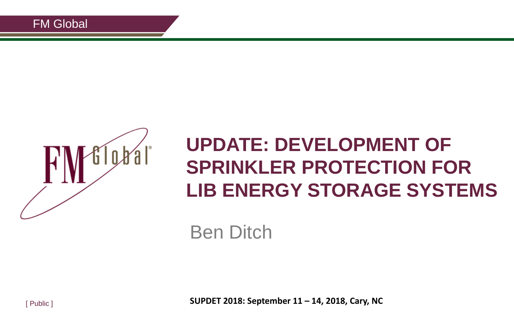

### **UPDATE: DEVELOPMENT OF SPRINKLER PROTECTION FOR LIB ENERGY STORAGE SYSTEMS**

Ben Ditch

**SUPDET 2018: September 11 – 14, 2018, Cary, NC**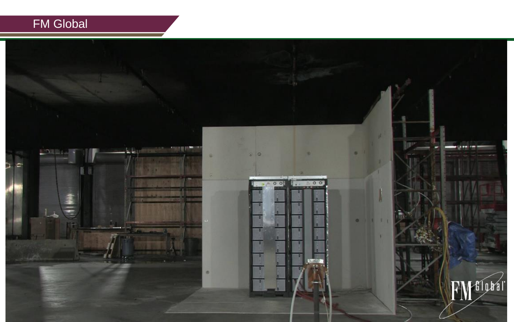#### FM Global

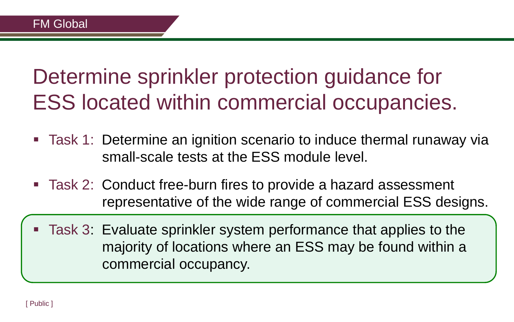### Determine sprinkler protection guidance for ESS located within commercial occupancies.

- Task 1: Determine an ignition scenario to induce thermal runaway via small-scale tests at the ESS module level.
- Task 2: Conduct free-burn fires to provide a hazard assessment representative of the wide range of commercial ESS designs.
- Task 3: Evaluate sprinkler system performance that applies to the majority of locations where an ESS may be found within a commercial occupancy.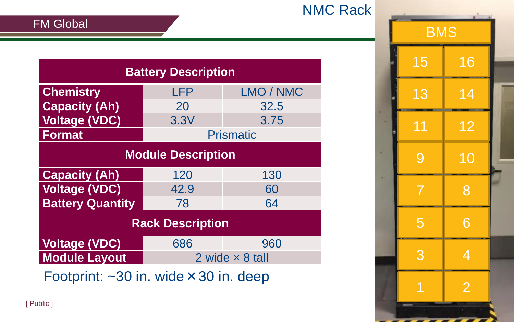|  |  |  | <b>NMC Rack</b> |
|--|--|--|-----------------|
|--|--|--|-----------------|

| <b>Battery Description</b>                                        |                        |           |  |  |  |
|-------------------------------------------------------------------|------------------------|-----------|--|--|--|
| <b>Chemistry</b>                                                  | <b>LFP</b>             | LMO / NMC |  |  |  |
| <b>Capacity (Ah)</b>                                              | 20                     | 32.5      |  |  |  |
| <b>Voltage (VDC)</b>                                              | 3.3V                   | 3.75      |  |  |  |
| <b>Format</b>                                                     | <b>Prismatic</b>       |           |  |  |  |
| <b>Module Description</b>                                         |                        |           |  |  |  |
| <b>Capacity (Ah)</b>                                              | 120                    | 130       |  |  |  |
| <b>Voltage (VDC)</b>                                              | 42.9                   | 60        |  |  |  |
| <b>Battery Quantity</b>                                           | 78                     | 64        |  |  |  |
| <b>Rack Description</b>                                           |                        |           |  |  |  |
| <b>Voltage (VDC)</b>                                              | 686                    | 960       |  |  |  |
| <b>Module Layout</b>                                              | 2 wide $\times$ 8 tall |           |  |  |  |
| $\frac{1}{2}$ Footprint: $\approx 30$ in wide $\times 30$ in deep |                        |           |  |  |  |

 $\Gamma$  Outprint.  $\sim$ 30 in. wide  $\sim$  30 in. deep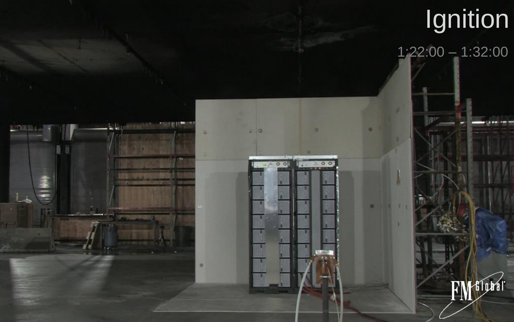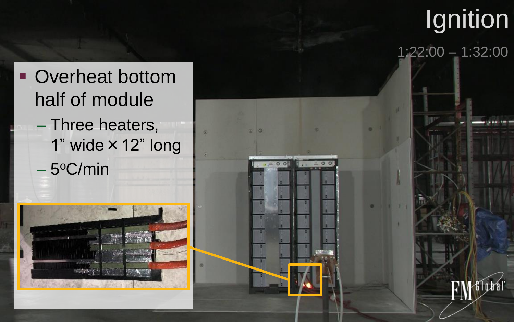





Filobál

1:22:00 – 1:32:00

 $00$ 

 $00$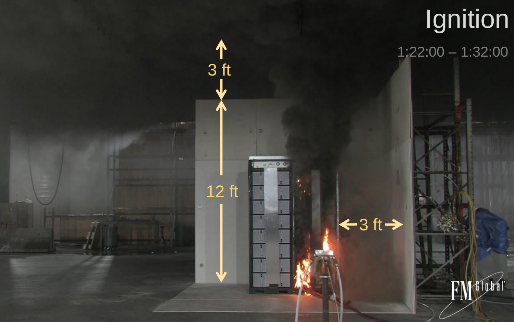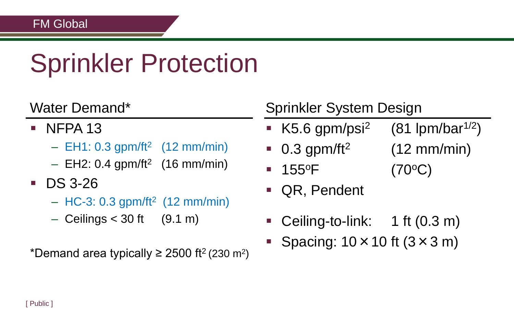# Sprinkler Protection

#### Water Demand\*

- $\blacksquare$  NFPA 13
	- $-$  EH1: 0.3 gpm/ft<sup>2</sup> (12 mm/min)
	- $-$  EH2: 0.4 gpm/ft<sup>2</sup> (16 mm/min)
- **DS 3-26** 
	- $-$  HC-3: 0.3 gpm/ft<sup>2</sup> (12 mm/min)
	- $-$  Ceilings  $<$  30 ft (9.1 m)

\*Demand area typically  $\geq$  2500 ft<sup>2</sup> (230 m<sup>2</sup>)

#### Sprinkler System Design

- K5.6 gpm/psi<sup>2</sup> (81 lpm/bar<sup>1/2</sup>)
- $0.3$  gpm/ft<sup>2</sup> (12 mm/min)
- 155<sup>o</sup>F (70<sup>o</sup>C)
- QR, Pendent
- Ceiling-to-link: 1 ft (0.3 m)
- Spacing:  $10 \times 10$  ft  $(3 \times 3$  m)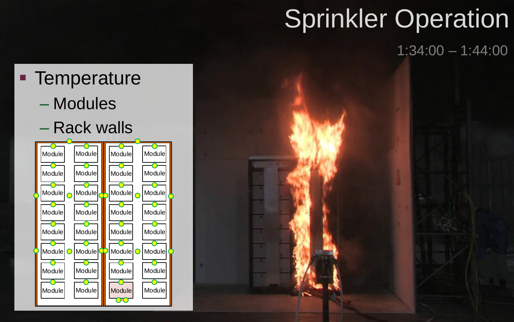# Sprinkler Operation

1:34:00 – 1:44:00

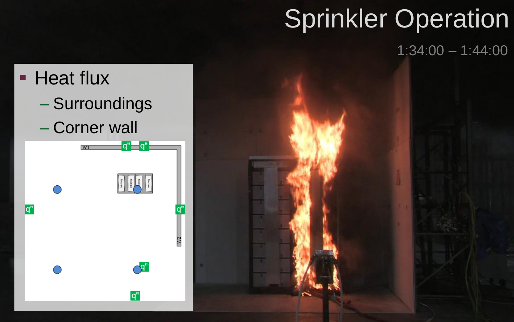# Sprinkler Operation

1:34:00 – 1:44:00

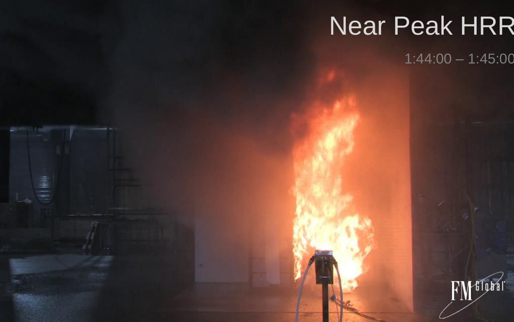#### Near Peak HRR Near Peak HRR

11 编译

 $1:44:00 - 1:45:00$ 

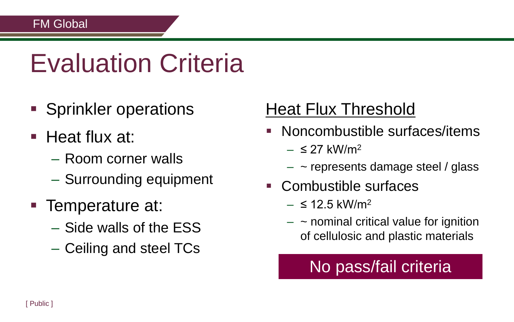## Evaluation Criteria

- **Sprinkler operations**
- $\blacksquare$  Heat flux at:
	- Room corner walls
	- Surrounding equipment
- Temperature at:
	- Side walls of the ESS
	- Ceiling and steel TCs

### Heat Flux Threshold

- Noncombustible surfaces/items
	- $\leq$  27 kW/m<sup>2</sup>
	- $-$  ~ represents damage steel / glass
- Combustible surfaces
	- $-$  ≤ 12.5 kW/m<sup>2</sup>
	- $\sim$  nominal critical value for ignition of cellulosic and plastic materials

### No pass/fail criteria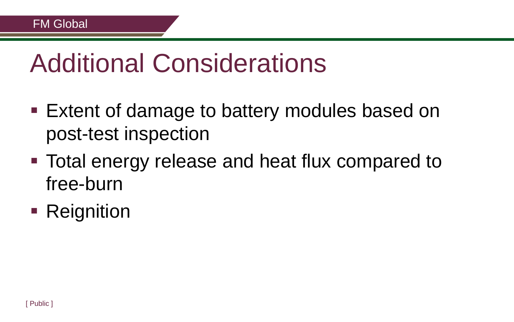### Additional Considerations

- Extent of damage to battery modules based on post-test inspection
- Total energy release and heat flux compared to free-burn
- **Reignition**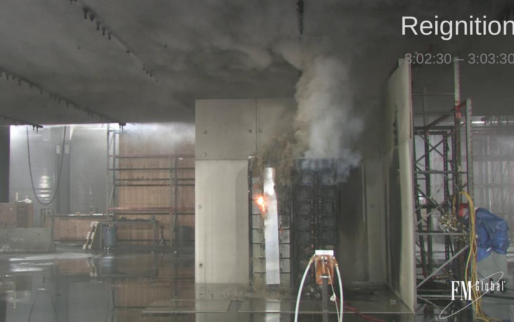#### Reignition Reignition

FM Global

1

s

 $\mathbf{L}$ 

 $3:02:30 - 3:03:30$ 

FMGLOBE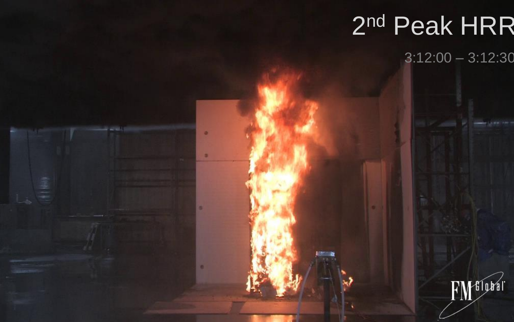#### 2 nd Peak HRR 2 nd Peak HRR

 $22.2601$ 

 $\equiv$ 

٠

3:12:00 – 3:12:30

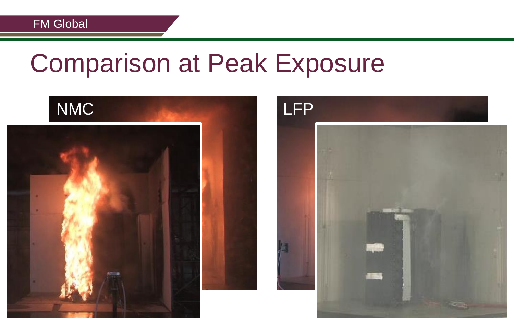### Comparison at Peak Exposure